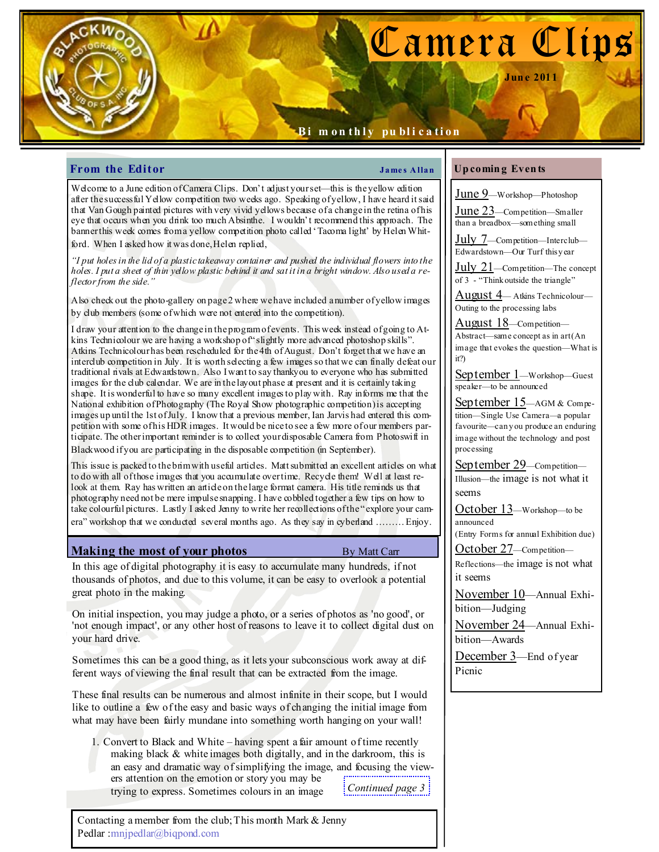# Camera Clips

Jun e 2011

# Bi m on thly publication

# **From the Editor**  $\qquad \qquad \qquad$  James Allan

Welcome to a June edition of Camera Clips. Don't adjust your set—this is the yellow edition after the successful Yellow competition two weeks ago. Speaking of yellow, I have heard it said that Van Gough painted pictures with very vivid yellows because of a change in the retina of his eye that occurs when you drink too much Absinthe. I wouldn't recommend this approach. The banner this week comes from a yellow competition photo called 'Tacoma light' by Helen Whitford. When I asked how it was done, Helen replied,

"I put holes in the lid of a plastic takeaway container and pushed the individual flowers into the holes. I put a sheet of thin yellow plastic behind it and satitin a bright window. Also used a reflector from the side."

Also check out the photo-gallery on page 2 where we have included a number of yellow images by club members (some of which were not entered into the competition).

I draw your attention to the change in the program of events. This week instead of going to Atkins Technicolour we are having a workshop of "slightly more advanced photoshop skills". Atkins Technicolour has been rescheduled for the 4th of August. Don't forget that we have an interclub competition in July. It is worth selecting a few images so that we can finally defeat our traditional rivals at Edwardstown. Also I want to say thankyou to everyone who has submitted images for the club calendar. We are in the layout phase at present and it is certainly taking shape. It is wonderful to have so many excellent images to play with. Ray informs me that the National exhibition of Photography (The Royal Show photographic competition) is accepting images up until the 1st of July. I know that a previous member, Ian Jarvis had entered this competition with some of his HDR images. It would be nice to see a few more of our members participate. The other important reminder is to collect your disposable Camera from Photoswift in Blackwood if you are participating in the disposable competition (in September).

This issue is packed to the brim with useful articles. Matt submitted an excellent articles on what to do with all of those images that you accumulate over time. Recycle them! Well at least relook at them. Ray has written an article on the large format camera. His title reminds us that photography need not be mere impulse snapping. I have cobbled together a few tips on how to take colourful pictures. Lastly I asked Jenny to write her recollections of the "explore your camera" workshop that we conducted several months ago. As they say in cyberland ……… Enjoy.

# **Making the most of your photos** By Matt Carr

In this age of digital photography it is easy to accumulate many hundreds, if not thousands of photos, and due to this volume, it can be easy to overlook a potential great photo in the making.

On initial inspection, you may judge a photo, or a series of photos as 'no good', or 'not enough impact', or any other host of reasons to leave it to collect digital dust on your hard drive.

Sometimes this can be a good thing, as it lets your subconscious work away at different ways of viewing the final result that can be extracted from the image.

These final results can be numerous and almost infinite in their scope, but I would like to outline a few of the easy and basic ways of changing the initial image from what may have been fairly mundane into something worth hanging on your wall!

1. Convert to Black and White – having spent a fair amount of time recently making black & white images both digitally, and in the darkroom, this is an easy and dramatic way of simplifying the image, and focusing the viewers attention on the emotion or story you may be trying to express. Sometimes colours in an image Continued page  $3\frac{1}{2}$ 

Contacting a member from the club; This month Mark & Jenny Pedlar :mnjpedlar@biqpond.com

## Up comin g Even ts

June 9—Workshop—Photoshop June 23—Competition—Smaller

than a breadbox—something small

July 7—Competition—Interclub— Edwardstown—Our Turf this y ear

 $July 21$ —Competition—The concept of 3 - "Think outside the triangle"

August 4— Atkins Technicolour— Outing to the processing labs

August 18—Competition— Abstract—same concept as in art (An image that evokes the question—What is it?)

September 1—Workshop—Guest speaker—to be announced

September 15-AGM & Competition—Single Use Camera—a popular favourite—can y ou produce an enduring image without the technology and post processing

September 29—Competition— Illusion—the image is not what it seems

October 13—Workshop—to be announced

(Entry Forms for annual Exhibition due)

October 27—Competition— Reflections—the image is not what

it seems

November 10—Annual Exhibition—Judging

November 24—Annual Exhibition—Awards

December 3—End of year Picnic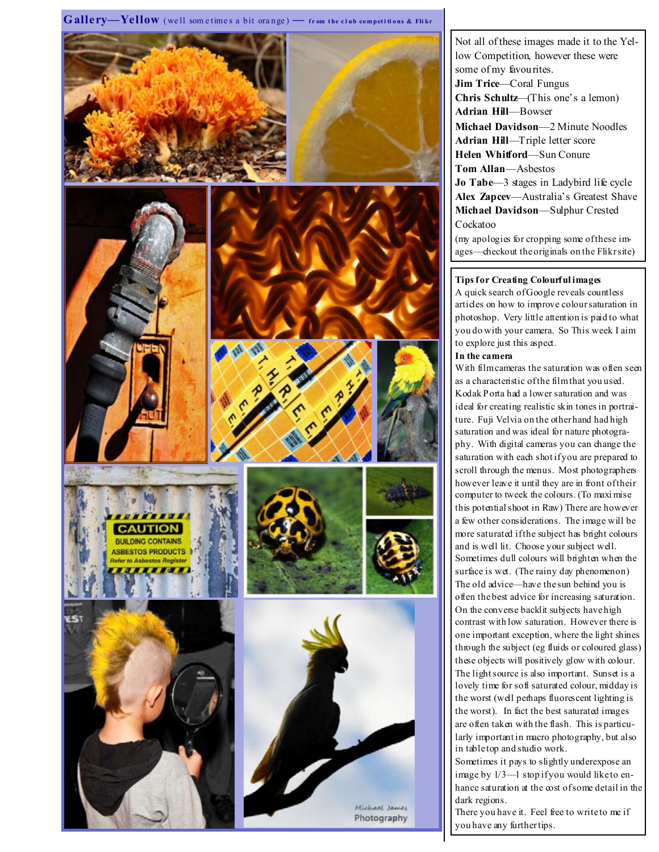## $G\,allery\_\,Yell\,10w$  (well som etimes a bit orange)  $-$  from the club competitions & Flikr



Not all of these images made it to the Yellow Competition, however these were some of my favourites. Jim Trice—Coral Fungus Chris Schultz—(This one's a lemon) Adrian Hill—Bowser Michael Davidson—2 Minute Noodles Adrian Hill—Triple letter score Helen Whitford—Sun Conure Tom Allan—Asbestos Jo Tabe-3 stages in Ladybird life cycle Alex Zapcev—Australia's Greatest Shave Michael Davidson—Sulphur Crested Cockatoo

(my apologies for cropping some of these images—checkout the originals on the Flikr site)

### Tips for Creating Colourful images

A quick search of Google reveals countless articles on how to improve colour saturation in photoshop. Very little attention is paid to what you do with your camera. So This week I aim to explore just this aspect.

### In the camera

With film cameras the saturation was often seen as a characteristic of the film that you used. Kodak Porta had a lower saturation and was ideal for creating realistic skin tones in portraiture. Fuji Velvia on the other hand had high saturation and was ideal for nature photography. With digital cameras you can change the saturation with each shot if you are prepared to scroll through the menus. Most photographers however leave it until they are in front of their computer to tweek the colours. (To maxi mise this potential shoot in Raw) There are however a few other considerations. The image will be more saturated if the subject has bright colours and is well lit. Choose your subject well. Sometimes dull colours will brighten when the surface is wet. (The rainy day phenomenon) The old advice—have the sun behind you is often the best advice for increasing saturation. On the converse backlit subjects have high contrast with low saturation. However there is one important exception, where the light shines through the subject (eg fluids or coloured glass) these objects will positively glow with colour. The light source is also important. Sunset is a lovely time for soft saturated colour, midday is the worst (well perhaps fluorescent lighting is the worst). In fact the best saturated images are often taken with the flash. This is particularly important in macro photography, but also in table top and studio work.

Sometimes it pays to slightly underexpose an image by  $1/3$ —1 stop if you would like to enhance saturation at the cost of some detail in the dark regions.

There you have it. Feel free to write to me if you have any further tips.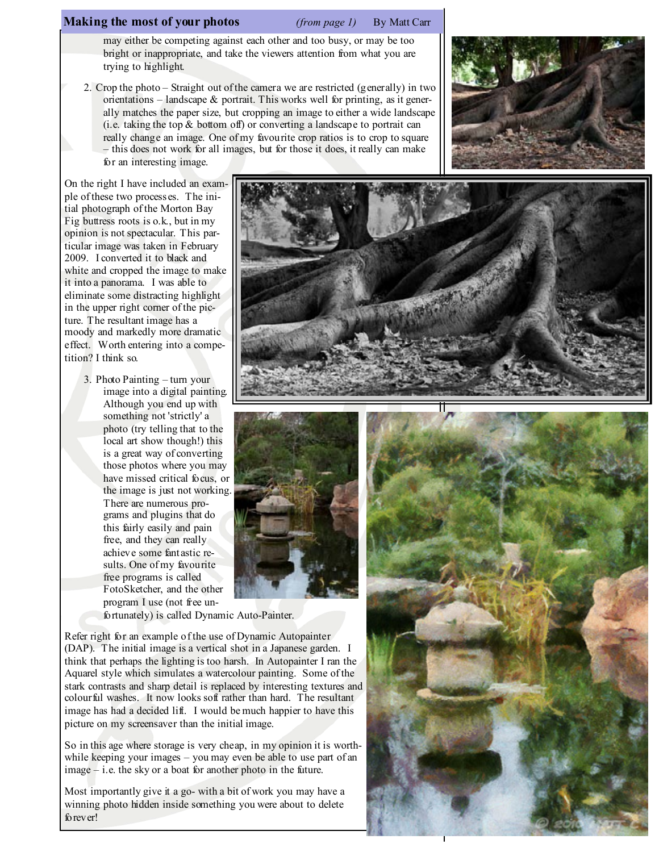# **Making the most of your photos** (*from page 1*) By Matt Carr

may either be competing against each other and too busy, or may be too bright or inappropriate, and take the viewers attention from what you are trying to highlight.

2. Crop the photo – Straight out of the camera we are restricted (generally) in two orientations – landscape  $\&$  portrait. This works well for printing, as it generally matches the paper size, but cropping an image to either a wide landscape (i.e. taking the top & bottom off) or converting a landscape to portrait can really change an image. One of my favourite crop ratios is to crop to square – this does not work for all images, but for those it does, it really can make for an interesting image.



On the right I have included an example of these two processes. The initial photograph of the Morton Bay Fig buttress roots is o.k., but in my opinion is not spectacular. This particular image was taken in February 2009. I converted it to black and white and cropped the image to make it into a panorama. I was able to eliminate some distracting highlight in the upper right corner of the picture. The resultant image has a moody and markedly more dramatic effect. Worth entering into a competition? I think so.

> 3. Photo Painting – turn your image into a digital painting. Although you end up with something not 'strictly' a photo (try telling that to the local art show though!) this is a great way of converting those photos where you may have missed critical focus, or the image is just not working. There are numerous programs and plugins that do this fairly easily and pain free, and they can really achieve some fantastic results. One of my favourite free programs is called FotoSketcher, and the other program I use (not free un-





fortunately) is called Dynamic Auto-Painter.

Refer right for an example of the use of Dynamic Autopainter (DAP). The initial image is a vertical shot in a Japanese garden. I think that perhaps the lighting is too harsh. In Autopainter I ran the Aquarel style which simulates a watercolour painting. Some of the stark contrasts and sharp detail is replaced by interesting textures and colourful washes. It now looks soft rather than hard. The resultant image has had a decided lift. I would be much happier to have this picture on my screensaver than the initial image.

So in this age where storage is very cheap, in my opinion it is worthwhile keeping your images – you may even be able to use part of an image – i.e. the sky or a boat for another photo in the future.

Most importantly give it a go- with a bit of work you may have a winning photo hidden inside something you were about to delete forever!

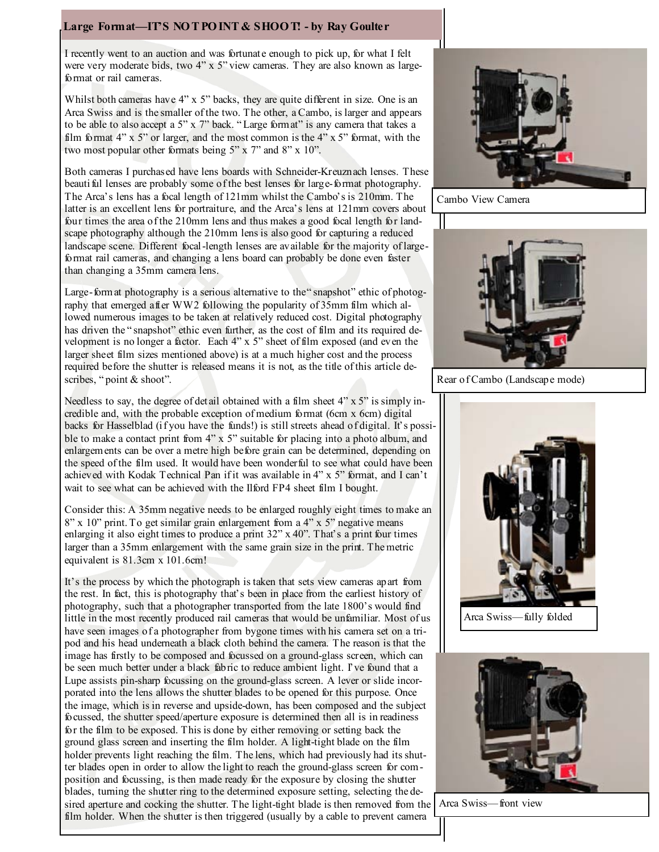# Large Format—IT'S NOT POINT & SHOOT! - by Ray Goulter

I recently went to an auction and was fortunate enough to pick up, for what I felt were very moderate bids, two 4" x 5" view cameras. They are also known as largeformat or rail cameras.

Whilst both cameras have 4" x 5" backs, they are quite different in size. One is an Arca Swiss and is the smaller of the two. The other, a Cambo, is larger and appears to be able to also accept a 5" x 7" back. " Large format" is any camera that takes a film format  $4$ " x 5" or larger, and the most common is the  $4$ " x 5" format, with the two most popular other formats being 5" x 7" and 8" x 10".

Both cameras I purchased have lens boards with Schneider-Kreuznach lenses. These beauti ful lenses are probably some of the best lenses for large-format photography. The Arca's lens has a focal length of 121mm whilst the Cambo's is 210mm. The latter is an excellent lens for portraiture, and the Arca's lens at 121mm covers about four times the area of the 210mm lens and thus makes a good focal length for landscape photography although the 210mm lens is also good for capturing a reduced landscape scene. Different focal-length lenses are available for the majority of largeformat rail cameras, and changing a lens board can probably be done even faster than changing a 35mm camera lens.

Large-format photography is a serious alternative to the "snapshot" ethic of photography that emerged after WW2 following the popularity of 35mm film which allowed numerous images to be taken at relatively reduced cost. Digital photography has driven the "snapshot" ethic even further, as the cost of film and its required development is no longer a factor. Each 4" x 5" sheet of film exposed (and even the larger sheet film sizes mentioned above) is at a much higher cost and the process required before the shutter is released means it is not, as the title of this article describes, "point & shoot".

Needless to say, the degree of detail obtained with a film sheet 4" x 5" is simply incredible and, with the probable exception of medium format (6cm x 6cm) digital backs for Hasselblad (if you have the funds!) is still streets ahead of digital. It's possible to make a contact print from 4" x 5" suitable for placing into a photo album, and enlargements can be over a metre high before grain can be determined, depending on the speed of the film used. It would have been wonderful to see what could have been achieved with Kodak Technical Pan if it was available in 4" x 5" format, and I can't wait to see what can be achieved with the Ilford FP4 sheet film I bought.

Consider this: A 35mm negative needs to be enlarged roughly eight times to make an 8" x 10" print. To get similar grain enlargement from a 4" x 5" negative means enlarging it also eight times to produce a print 32" x 40". That's a print four times larger than a 35mm enlargement with the same grain size in the print. The metric equivalent is 81.3cm x 101.6cm!

It's the process by which the photograph is taken that sets view cameras apart from the rest. In fact, this is photography that's been in place from the earliest history of photography, such that a photographer transported from the late 1800's would find little in the most recently produced rail cameras that would be unfamiliar. Most of us have seen images of a photographer from bygone times with his camera set on a tripod and his head underneath a black cloth behind the camera. The reason is that the image has firstly to be composed and focussed on a ground-glass screen, which can be seen much better under a black fabric to reduce ambient light. I've found that a Lupe assists pin-sharp focussing on the ground-glass screen. A lever or slide incorporated into the lens allows the shutter blades to be opened for this purpose. Once the image, which is in reverse and upside-down, has been composed and the subject focussed, the shutter speed/aperture exposure is determined then all is in readiness for the film to be exposed. This is done by either removing or setting back the ground glass screen and inserting the film holder. A light-tight blade on the film holder prevents light reaching the film. The lens, which had previously had its shutter blades open in order to allow the light to reach the ground-glass screen for composition and focussing, is then made ready for the exposure by closing the shutter blades, turning the shutter ring to the determined exposure setting, selecting the desired aperture and cocking the shutter. The light-tight blade is then removed from the Arca Swiss—front view film holder. When the shutter is then triggered (usually by a cable to prevent camera



Cambo View Camera



Rear of Cambo (Landscape mode)



Arca Swiss—fully folded

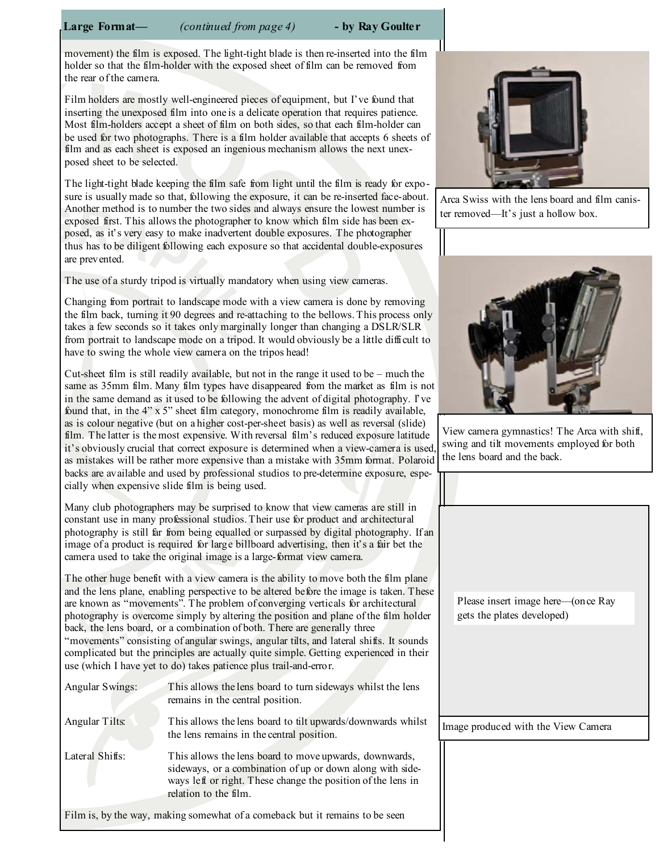Large Format— (continued from page 4) - by Ray Goulter

movement) the film is exposed. The light-tight blade is then re-inserted into the film holder so that the film-holder with the exposed sheet of film can be removed from the rear of the camera.

Film holders are mostly well-engineered pieces of equipment, but I've found that inserting the unexposed film into one is a delicate operation that requires patience. Most film-holders accept a sheet of film on both sides, so that each film-holder can be used for two photographs. There is a film holder available that accepts 6 sheets of film and as each sheet is exposed an ingenious mechanism allows the next unexposed sheet to be selected.

The light-tight blade keeping the film safe from light until the film is ready for exposure is usually made so that, following the exposure, it can be re-inserted face-about. Another method is to number the two sides and always ensure the lowest number is exposed first. This allows the photographer to know which film side has been exposed, as it's very easy to make inadvertent double exposures. The photographer thus has to be diligent following each exposure so that accidental double-exposures are prevented.

The use of a sturdy tripod is virtually mandatory when using view cameras.

Changing from portrait to landscape mode with a view camera is done by removing the film back, turning it 90 degrees and re-attaching to the bellows. This process only takes a few seconds so it takes only marginally longer than changing a DSLR/SLR from portrait to landscape mode on a tripod. It would obviously be a little difficult to have to swing the whole view camera on the tripos head!

Cut-sheet film is still readily available, but not in the range it used to be – much the same as 35mm film. Many film types have disappeared from the market as film is not in the same demand as it used to be following the advent of digital photography. I've found that, in the 4" x 5" sheet film category, monochrome film is readily available, as is colour negative (but on a higher cost-per-sheet basis) as well as reversal (slide) film. The latter is the most expensive. With reversal film's reduced exposure latitude it's obviously crucial that correct exposure is determined when a view-camera is used, as mistakes will be rather more expensive than a mistake with 35mm format. Polaroid backs are available and used by professional studios to pre-determine exposure, especially when expensive slide film is being used.

Many club photographers may be surprised to know that view cameras are still in constant use in many professional studios. Their use for product and architectural photography is still far from being equalled or surpassed by digital photography. If an image of a product is required for large billboard advertising, then it's a fair bet the camera used to take the original image is a large-format view camera.

The other huge benefit with a view camera is the ability to move both the film plane and the lens plane, enabling perspective to be altered before the image is taken. These are known as "movements". The problem of converging verticals for architectural photography is overcome simply by altering the position and plane of the film holder back, the lens board, or a combination of both. There are generally three "movements" consisting of angular swings, angular tilts, and lateral shifts. It sounds complicated but the principles are actually quite simple. Getting experienced in their use (which I have yet to do) takes patience plus trail-and-error.

| Angular Swings: | This allows the lens board to turn sideways whilst the lens<br>remains in the central position.                                                                                                              |
|-----------------|--------------------------------------------------------------------------------------------------------------------------------------------------------------------------------------------------------------|
| Angular Tilts:  | This allows the lens board to tilt upwards/downwards whilst<br>the lens remains in the central position.                                                                                                     |
| Lateral Shifts: | This allows the lens board to move upwards, downwards,<br>sideways, or a combination of up or down along with side-<br>ways left or right. These change the position of the lens in<br>relation to the film. |





View camera gymnastics! The Arca with shift, swing and tilt movements employed for both the lens board and the back.

| Please insert image here—(once Ray<br>gets the plates developed) |  |
|------------------------------------------------------------------|--|
|                                                                  |  |
|                                                                  |  |
|                                                                  |  |
| Image produced with the View Camera                              |  |
|                                                                  |  |

Film is, by the way, making somewhat of a comeback but it remains to be seen